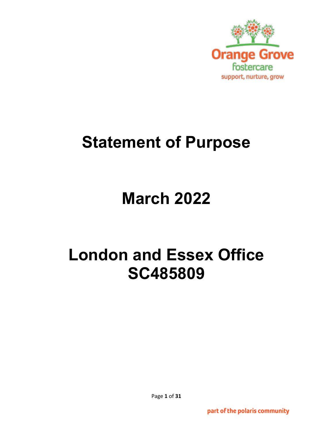

# **Statement of Purpose**

# **March 2022**

# **London and Essex Office SC485809**

Page **1** of **31**

part of the polaris community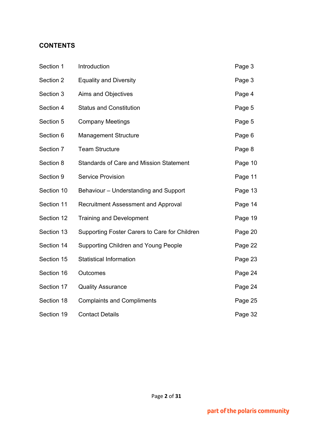# **CONTENTS**

| Section 1  | Introduction                                   | Page 3  |
|------------|------------------------------------------------|---------|
| Section 2  | <b>Equality and Diversity</b>                  | Page 3  |
| Section 3  | Aims and Objectives                            | Page 4  |
| Section 4  | <b>Status and Constitution</b>                 | Page 5  |
| Section 5  | <b>Company Meetings</b>                        | Page 5  |
| Section 6  | <b>Management Structure</b>                    | Page 6  |
| Section 7  | <b>Team Structure</b>                          | Page 8  |
| Section 8  | <b>Standards of Care and Mission Statement</b> | Page 10 |
| Section 9  | <b>Service Provision</b>                       | Page 11 |
| Section 10 | Behaviour - Understanding and Support          | Page 13 |
| Section 11 | <b>Recruitment Assessment and Approval</b>     | Page 14 |
| Section 12 | <b>Training and Development</b>                | Page 19 |
| Section 13 | Supporting Foster Carers to Care for Children  | Page 20 |
| Section 14 | <b>Supporting Children and Young People</b>    | Page 22 |
| Section 15 | <b>Statistical Information</b>                 | Page 23 |
| Section 16 | Outcomes                                       | Page 24 |
| Section 17 | <b>Quality Assurance</b>                       | Page 24 |
| Section 18 | <b>Complaints and Compliments</b>              | Page 25 |
| Section 19 | <b>Contact Details</b>                         | Page 32 |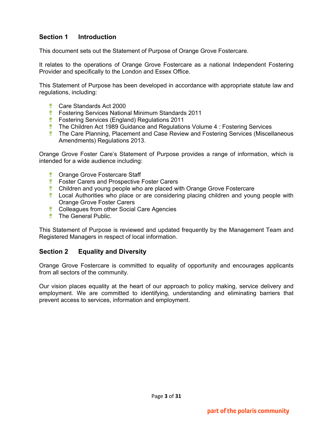# **Section 1 Introduction**

This document sets out the Statement of Purpose of Orange Grove Fostercare.

It relates to the operations of Orange Grove Fostercare as a national Independent Fostering Provider and specifically to the London and Essex Office.

This Statement of Purpose has been developed in accordance with appropriate statute law and regulations, including:

- **Care Standards Act 2000**
- **Fostering Services National Minimum Standards 2011**
- **Fostering Services (England) Regulations 2011**
- **The Children Act 1989 Guidance and Regulations Volume 4 : Fostering Services**
- **The Care Planning, Placement and Case Review and Fostering Services (Miscellaneous** Amendments) Regulations 2013.

Orange Grove Foster Care's Statement of Purpose provides a range of information, which is intended for a wide audience including:

- **Crange Grove Fostercare Staff**
- **EX Foster Carers and Prospective Foster Carers**
- **Children and young people who are placed with Orange Grove Fostercare**
- **Local Authorities who place or are considering placing children and young people with** Orange Grove Foster Carers
- **Colleagues from other Social Care Agencies**
- *\** The General Public.

This Statement of Purpose is reviewed and updated frequently by the Management Team and Registered Managers in respect of local information.

### **Section 2 Equality and Diversity**

Orange Grove Fostercare is committed to equality of opportunity and encourages applicants from all sectors of the community.

Our vision places equality at the heart of our approach to policy making, service delivery and employment. We are committed to identifying, understanding and eliminating barriers that prevent access to services, information and employment.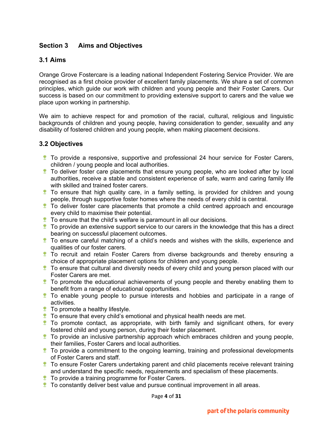# **Section 3 Aims and Objectives**

## **3.1 Aims**

Orange Grove Fostercare is a leading national Independent Fostering Service Provider. We are recognised as a first choice provider of excellent family placements. We share a set of common principles, which guide our work with children and young people and their Foster Carers. Our success is based on our commitment to providing extensive support to carers and the value we place upon working in partnership.

We aim to achieve respect for and promotion of the racial, cultural, religious and linguistic backgrounds of children and young people, having consideration to gender, sexuality and any disability of fostered children and young people, when making placement decisions.

## **3.2 Objectives**

- To provide a responsive, supportive and professional 24 hour service for Foster Carers, children / young people and local authorities.
- **The I** To deliver foster care placements that ensure young people, who are looked after by local authorities, receive a stable and consistent experience of safe, warm and caring family life with skilled and trained foster carers.
- **To ensure that high quality care, in a family setting, is provided for children and young** people, through supportive foster homes where the needs of every child is central.
- **To deliver foster care placements that promote a child centred approach and encourage** every child to maximise their potential.
- $\ddot{\bullet}$  To ensure that the child's welfare is paramount in all our decisions.
- $\ddot{\mathbf{r}}$  To provide an extensive support service to our carers in the knowledge that this has a direct bearing on successful placement outcomes.
- $\ddot{\ddot{\mathbf{x}}}$  To ensure careful matching of a child's needs and wishes with the skills, experience and qualities of our foster carers.
- To recruit and retain Foster Carers from diverse backgrounds and thereby ensuring a choice of appropriate placement options for children and young people.
- **The ensure that cultural and diversity needs of every child and young person placed with our** Foster Carers are met.
- To promote the educational achievements of young people and thereby enabling them to benefit from a range of educational opportunities.
- **To enable young people to pursue interests and hobbies and participate in a range of** activities.
- **To promote a healthy lifestyle.**
- **To ensure that every child's emotional and physical health needs are met.**
- **To promote contact, as appropriate, with birth family and significant others, for every** fostered child and young person, during their foster placement.
- $\ddot{\ddot{\mathbf{r}}}$  To provide an inclusive partnership approach which embraces children and young people, their families, Foster Carers and local authorities.
- $\bullet$  To provide a commitment to the ongoing learning, training and professional developments of Foster Carers and staff.
- To ensure Foster Carers undertaking parent and child placements receive relevant training and understand the specific needs, requirements and specialism of these placements.
- **To provide a training programme for Foster Carers.**
- $\ddot{\mathbf{r}}$  To constantly deliver best value and pursue continual improvement in all areas.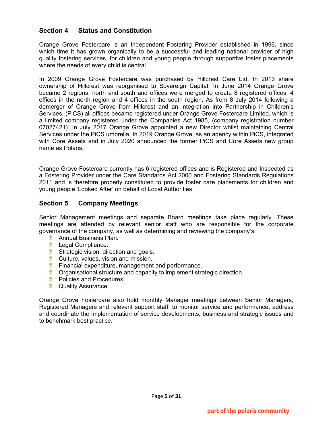# **Section 4 Status and Constitution**

Orange Grove Fostercare is an Independent Fostering Provider established in 1996, since which time it has grown organically to be a successful and leading national provider of high quality fostering services, for children and young people through supportive foster placements where the needs of every child is central.

In 2009 Orange Grove Fostercare was purchased by Hillcrest Care Ltd. In 2013 share ownership of Hillcrest was reorganised to Sovereign Capital. In June 2014 Orange Grove became 2 regions, north and south and offices were merged to create 8 registered offices, 4 offices in the north region and 4 offices in the south region. As from 8 July 2014 following a demerger of Orange Grove from Hillcrest and an integration into Partnership in Children's Services, (PiCS) all offices became registered under Orange Grove Fostercare Limited, which is a limited company registered under the Companies Act 1985, (company registration number 07027421). In July 2017 Orange Grove appointed a new Director whilst maintaining Central Services under the PiCS umbrella. In 2019 Orange Grove, as an agency within PiCS, integrated with Core Assets and in July 2020 announced the former PiCS and Core Assets new group name as Polaris.

Orange Grove Fostercare currently has 6 registered offices and is Registered and Inspected as a Fostering Provider under the Care Standards Act 2000 and Fostering Standards Regulations 2011 and is therefore properly constituted to provide foster care placements for children and young people 'Looked After' on behalf of Local Authorities.

# **Section 5 Company Meetings**

Senior Management meetings and separate Board meetings take place regularly. These meetings are attended by relevant senior staff who are responsible for the corporate governance of the company, as well as determining and reviewing the company's:

- Annual Business Plan.
- *\** Legal Compliance.
- **Strategic vision, direction and goals.**
- **Culture, values, vision and mission.**
- **Financial expenditure, management and performance.**
- **Componisational structure and capacity to implement strategic direction.**
- *\** Policies and Procedures.
- **<sup>\*</sup>** Quality Assurance.

Orange Grove Fostercare also hold monthly Manager meetings between Senior Managers, Registered Managers and relevant support staff, to monitor service and performance, address and coordinate the implementation of service developments, business and strategic issues and to benchmark best practice.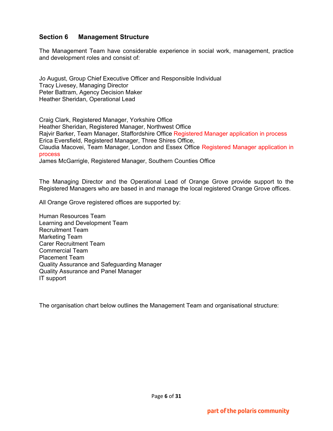# **Section 6 Management Structure**

The Management Team have considerable experience in social work, management, practice and development roles and consist of:

Jo August, Group Chief Executive Officer and Responsible Individual Tracy Livesey, Managing Director Peter Battram, Agency Decision Maker Heather Sheridan, Operational Lead

Craig Clark, Registered Manager, Yorkshire Office Heather Sheridan, Registered Manager, Northwest Office Rajvir Barker, Team Manager, Staffordshire Office Registered Manager application in process Erica Eversfield, Registered Manager, Three Shires Office, Claudia Macovei, Team Manager, London and Essex Office Registered Manager application in process

James McGarrigle, Registered Manager, Southern Counties Office

The Managing Director and the Operational Lead of Orange Grove provide support to the Registered Managers who are based in and manage the local registered Orange Grove offices.

All Orange Grove registered offices are supported by:

Human Resources Team Learning and Development Team Recruitment Team Marketing Team Carer Recruitment Team Commercial Team Placement Team Quality Assurance and Safeguarding Manager Quality Assurance and Panel Manager IT support

The organisation chart below outlines the Management Team and organisational structure: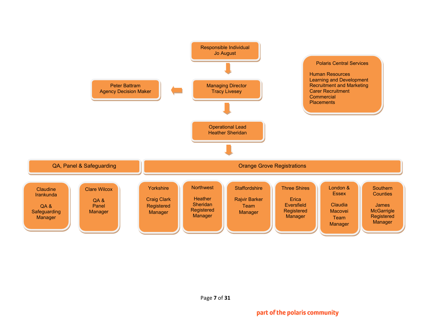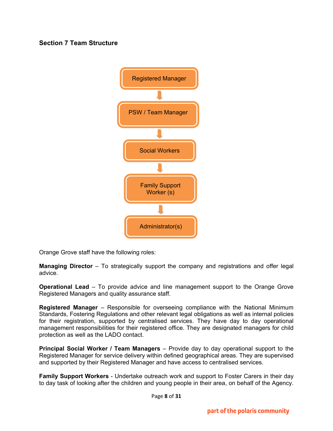# **Section 7 Team Structure**



Orange Grove staff have the following roles:

**Managing Director** – To strategically support the company and registrations and offer legal advice.

**Operational Lead** – To provide advice and line management support to the Orange Grove Registered Managers and quality assurance staff.

**Registered Manager** – Responsible for overseeing compliance with the National Minimum Standards, Fostering Regulations and other relevant legal obligations as well as internal policies for their registration, supported by centralised services. They have day to day operational management responsibilities for their registered office. They are designated managers for child protection as well as the LADO contact.

**Principal Social Worker / Team Managers** – Provide day to day operational support to the Registered Manager for service delivery within defined geographical areas. They are supervised and supported by their Registered Manager and have access to centralised services.

**Family Support Workers** - Undertake outreach work and support to Foster Carers in their day to day task of looking after the children and young people in their area, on behalf of the Agency.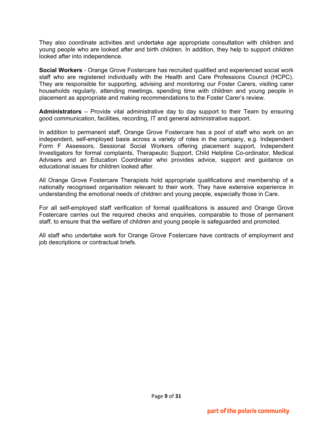They also coordinate activities and undertake age appropriate consultation with children and young people who are looked after and birth children. In addition, they help to support children looked after into independence.

**Social Workers** - Orange Grove Fostercare has recruited qualified and experienced social work staff who are registered individually with the Health and Care Professions Council (HCPC). They are responsible for supporting, advising and monitoring our Foster Carers, visiting carer households regularly, attending meetings, spending time with children and young people in placement as appropriate and making recommendations to the Foster Carer's review.

**Administrators** – Provide vital administrative day to day support to their Team by ensuring good communication, facilities, recording, IT and general administrative support.

In addition to permanent staff, Orange Grove Fostercare has a pool of staff who work on an independent, self-employed basis across a variety of roles in the company, e.g. Independent Form F Assessors, Sessional Social Workers offering placement support, Independent Investigators for formal complaints, Therapeutic Support, Child Helpline Co-ordinator, Medical Advisers and an Education Coordinator who provides advice, support and guidance on educational issues for children looked after.

All Orange Grove Fostercare Therapists hold appropriate qualifications and membership of a nationally recognised organisation relevant to their work. They have extensive experience in understanding the emotional needs of children and young people, especially those in Care.

For all self-employed staff verification of formal qualifications is assured and Orange Grove Fostercare carries out the required checks and enquiries, comparable to those of permanent staff, to ensure that the welfare of children and young people is safeguarded and promoted.

All staff who undertake work for Orange Grove Fostercare have contracts of employment and job descriptions or contractual briefs.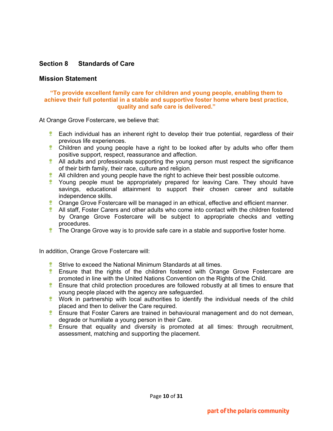# **Section 8 Standards of Care**

### **Mission Statement**

#### **"To provide excellent family care for children and young people, enabling them to achieve their full potential in a stable and supportive foster home where best practice, quality and safe care is delivered."**

At Orange Grove Fostercare, we believe that:

- **Each individual has an inherent right to develop their true potential, regardless of their** previous life experiences.
- **Children and young people have a right to be looked after by adults who offer them** positive support, respect, reassurance and affection.
- $\bullet$  All adults and professionals supporting the young person must respect the significance of their birth family, their race, culture and religion.
- $\bullet$  All children and young people have the right to achieve their best possible outcome.
- **T** Young people must be appropriately prepared for leaving Care. They should have savings, educational attainment to support their chosen career and suitable independence skills.
- **Crange Grove Fostercare will be managed in an ethical, effective and efficient manner.**
- <sup>1</sup> All staff, Foster Carers and other adults who come into contact with the children fostered by Orange Grove Fostercare will be subject to appropriate checks and vetting procedures.
- **The Orange Grove way is to provide safe care in a stable and supportive foster home.**

In addition, Orange Grove Fostercare will:

- $*$  Strive to exceed the National Minimum Standards at all times.
- **Ensure that the rights of the children fostered with Orange Grove Fostercare are** promoted in line with the United Nations Convention on the Rights of the Child.
- **Ensure that child protection procedures are followed robustly at all times to ensure that** young people placed with the agency are safeguarded.
- **Work in partnership with local authorities to identify the individual needs of the child** placed and then to deliver the Care required.
- **Ensure that Foster Carers are trained in behavioural management and do not demean,** degrade or humiliate a young person in their Care.
- **Ensure that equality and diversity is promoted at all times: through recruitment,** assessment, matching and supporting the placement.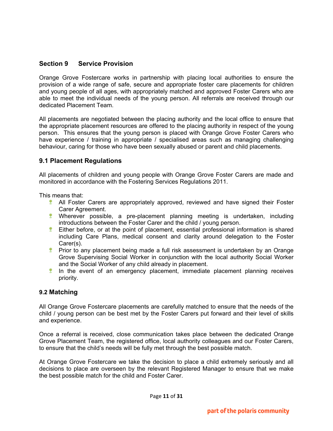# **Section 9 Service Provision**

Orange Grove Fostercare works in partnership with placing local authorities to ensure the provision of a wide range of safe, secure and appropriate foster care placements for children and young people of all ages, with appropriately matched and approved Foster Carers who are able to meet the individual needs of the young person. All referrals are received through our dedicated Placement Team.

All placements are negotiated between the placing authority and the local office to ensure that the appropriate placement resources are offered to the placing authority in respect of the young person. This ensures that the young person is placed with Orange Grove Foster Carers who have experience / training in appropriate / specialised areas such as managing challenging behaviour, caring for those who have been sexually abused or parent and child placements.

# **9.1 Placement Regulations**

All placements of children and young people with Orange Grove Foster Carers are made and monitored in accordance with the Fostering Services Regulations 2011.

This means that:

- **All Foster Carers are appropriately approved, reviewed and have signed their Foster** Carer Agreement.
- Wherever possible, a pre-placement planning meeting is undertaken, including introductions between the Foster Carer and the child / young person.
- **Either before, or at the point of placement, essential professional information is shared** including Care Plans, medical consent and clarity around delegation to the Foster Carer(s).
- **Prior to any placement being made a full risk assessment is undertaken by an Orange** Grove Supervising Social Worker in conjunction with the local authority Social Worker and the Social Worker of any child already in placement.
- **If** In the event of an emergency placement, immediate placement planning receives priority.

# **9.2 Matching**

All Orange Grove Fostercare placements are carefully matched to ensure that the needs of the child / young person can be best met by the Foster Carers put forward and their level of skills and experience.

Once a referral is received, close communication takes place between the dedicated Orange Grove Placement Team, the registered office, local authority colleagues and our Foster Carers, to ensure that the child's needs will be fully met through the best possible match.

At Orange Grove Fostercare we take the decision to place a child extremely seriously and all decisions to place are overseen by the relevant Registered Manager to ensure that we make the best possible match for the child and Foster Carer.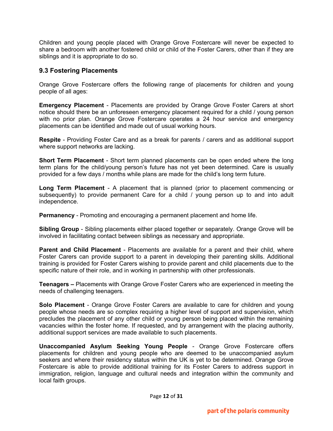Children and young people placed with Orange Grove Fostercare will never be expected to share a bedroom with another fostered child or child of the Foster Carers, other than if they are siblings and it is appropriate to do so.

# **9.3 Fostering Placements**

Orange Grove Fostercare offers the following range of placements for children and young people of all ages:

**Emergency Placement** - Placements are provided by Orange Grove Foster Carers at short notice should there be an unforeseen emergency placement required for a child / young person with no prior plan. Orange Grove Fostercare operates a 24 hour service and emergency placements can be identified and made out of usual working hours.

**Respite** - Providing Foster Care and as a break for parents / carers and as additional support where support networks are lacking.

**Short Term Placement** - Short term planned placements can be open ended where the long term plans for the child/young person's future has not yet been determined. Care is usually provided for a few days / months while plans are made for the child's long term future.

**Long Term Placement** - A placement that is planned (prior to placement commencing or subsequently) to provide permanent Care for a child / young person up to and into adult independence.

**Permanency** - Promoting and encouraging a permanent placement and home life.

**Sibling Group** - Sibling placements either placed together or separately. Orange Grove will be involved in facilitating contact between siblings as necessary and appropriate.

**Parent and Child Placement** - Placements are available for a parent and their child, where Foster Carers can provide support to a parent in developing their parenting skills. Additional training is provided for Foster Carers wishing to provide parent and child placements due to the specific nature of their role, and in working in partnership with other professionals.

**Teenagers –** Placements with Orange Grove Foster Carers who are experienced in meeting the needs of challenging teenagers.

**Solo Placement** - Orange Grove Foster Carers are available to care for children and young people whose needs are so complex requiring a higher level of support and supervision, which precludes the placement of any other child or young person being placed within the remaining vacancies within the foster home. If requested, and by arrangement with the placing authority, additional support services are made available to such placements.

**Unaccompanied Asylum Seeking Young People** - Orange Grove Fostercare offers placements for children and young people who are deemed to be unaccompanied asylum seekers and where their residency status within the UK is yet to be determined. Orange Grove Fostercare is able to provide additional training for its Foster Carers to address support in immigration, religion, language and cultural needs and integration within the community and local faith groups.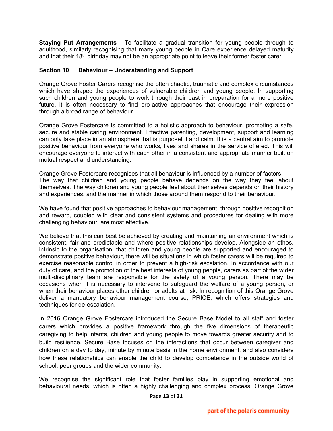**Staying Put Arrangements** - To facilitate a gradual transition for young people through to adulthood, similarly recognising that many young people in Care experience delayed maturity and that their 18<sup>th</sup> birthday may not be an appropriate point to leave their former foster carer.

## **Section 10 Behaviour – Understanding and Support**

Orange Grove Foster Carers recognise the often chaotic, traumatic and complex circumstances which have shaped the experiences of vulnerable children and young people. In supporting such children and young people to work through their past in preparation for a more positive future, it is often necessary to find pro-active approaches that encourage their expression through a broad range of behaviour.

Orange Grove Fostercare is committed to a holistic approach to behaviour, promoting a safe, secure and stable caring environment. Effective parenting, development, support and learning can only take place in an atmosphere that is purposeful and calm. It is a central aim to promote positive behaviour from everyone who works, lives and shares in the service offered. This will encourage everyone to interact with each other in a consistent and appropriate manner built on mutual respect and understanding.

Orange Grove Fostercare recognises that all behaviour is influenced by a number of factors. The way that children and young people behave depends on the way they feel about themselves. The way children and young people feel about themselves depends on their history and experiences, and the manner in which those around them respond to their behaviour.

We have found that positive approaches to behaviour management, through positive recognition and reward, coupled with clear and consistent systems and procedures for dealing with more challenging behaviour, are most effective.

We believe that this can best be achieved by creating and maintaining an environment which is consistent, fair and predictable and where positive relationships develop. Alongside an ethos, intrinsic to the organisation, that children and young people are supported and encouraged to demonstrate positive behaviour, there will be situations in which foster carers will be required to exercise reasonable control in order to prevent a high-risk escalation. In accordance with our duty of care, and the promotion of the best interests of young people, carers as part of the wider multi-disciplinary team are responsible for the safety of a young person. There may be occasions when it is necessary to intervene to safeguard the welfare of a young person, or when their behaviour places other children or adults at risk. In recognition of this Orange Grove deliver a mandatory behaviour management course, PRICE, which offers strategies and techniques for de-escalation.

In 2016 Orange Grove Fostercare introduced the Secure Base Model to all staff and foster carers which provides a positive framework through the five dimensions of therapeutic caregiving to help infants, children and young people to move towards greater security and to build resilience. Secure Base focuses on the interactions that occur between caregiver and children on a day to day, minute by minute basis in the home environment, and also considers how these relationships can enable the child to develop competence in the outside world of school, peer groups and the wider community.

We recognise the significant role that foster families play in supporting emotional and behavioural needs, which is often a highly challenging and complex process. Orange Grove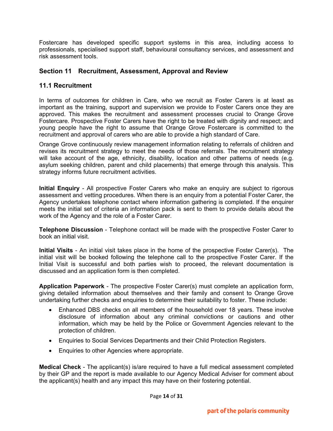Fostercare has developed specific support systems in this area, including access to professionals, specialised support staff, behavioural consultancy services, and assessment and risk assessment tools.

# **Section 11 Recruitment, Assessment, Approval and Review**

# **11.1 Recruitment**

In terms of outcomes for children in Care, who we recruit as Foster Carers is at least as important as the training, support and supervision we provide to Foster Carers once they are approved. This makes the recruitment and assessment processes crucial to Orange Grove Fostercare. Prospective Foster Carers have the right to be treated with dignity and respect; and young people have the right to assume that Orange Grove Fostercare is committed to the recruitment and approval of carers who are able to provide a high standard of Care.

Orange Grove continuously review management information relating to referrals of children and revises its recruitment strategy to meet the needs of those referrals. The recruitment strategy will take account of the age, ethnicity, disability, location and other patterns of needs (e.g. asylum seeking children, parent and child placements) that emerge through this analysis. This strategy informs future recruitment activities.

**Initial Enquiry** - All prospective Foster Carers who make an enquiry are subject to rigorous assessment and vetting procedures. When there is an enquiry from a potential Foster Carer, the Agency undertakes telephone contact where information gathering is completed. If the enquirer meets the initial set of criteria an information pack is sent to them to provide details about the work of the Agency and the role of a Foster Carer.

**Telephone Discussion** - Telephone contact will be made with the prospective Foster Carer to book an initial visit.

**Initial Visits** - An initial visit takes place in the home of the prospective Foster Carer(s). The initial visit will be booked following the telephone call to the prospective Foster Carer. If the Initial Visit is successful and both parties wish to proceed, the relevant documentation is discussed and an application form is then completed.

**Application Paperwork** - The prospective Foster Carer(s) must complete an application form, giving detailed information about themselves and their family and consent to Orange Grove undertaking further checks and enquiries to determine their suitability to foster. These include:

- Enhanced DBS checks on all members of the household over 18 years. These involve disclosure of information about any criminal convictions or cautions and other information, which may be held by the Police or Government Agencies relevant to the protection of children.
- Enquiries to Social Services Departments and their Child Protection Registers.
- Enquiries to other Agencies where appropriate.

**Medical Check** - The applicant(s) is/are required to have a full medical assessment completed by their GP and the report is made available to our Agency Medical Adviser for comment about the applicant(s) health and any impact this may have on their fostering potential.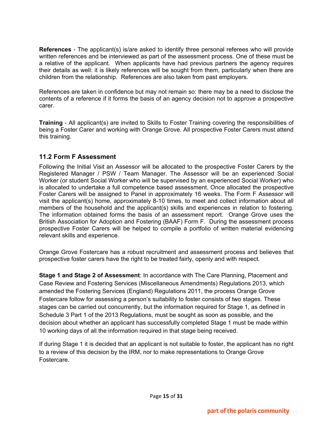**References** - The applicant(s) is/are asked to identify three personal referees who will provide written references and be interviewed as part of the assessment process. One of these must be a relative of the applicant. When applicants have had previous partners the agency requires their details as well: it is likely references will be sought from them, particularly when there are children from the relationship. References are also taken from past employers.

References are taken in confidence but may not remain so: there may be a need to disclose the contents of a reference if it forms the basis of an agency decision not to approve a prospective carer.

**Training** - All applicant(s) are invited to Skills to Foster Training covering the responsibilities of being a Foster Carer and working with Orange Grove. All prospective Foster Carers must attend this training.

# **11.2 Form F Assessment**

Following the Initial Visit an Assessor will be allocated to the prospective Foster Carers by the Registered Manager / PSW / Team Manager. The Assessor will be an experienced Social Worker (or student Social Worker who will be supervised by an experienced Social Worker) who is allocated to undertake a full competence based assessment. Once allocated the prospective Foster Carers will be assigned to Panel in approximately 16 weeks. The Form F Assessor will visit the applicant(s) home, approximately 8-10 times, to meet and collect information about all members of the household and the applicant(s) skills and experiences in relation to fostering. The information obtained forms the basis of an assessment report. Orange Grove uses the British Association for Adoption and Fostering (BAAF) Form F. During the assessment process prospective Foster Carers will be helped to compile a portfolio of written material evidencing relevant skills and experience.

Orange Grove Fostercare has a robust recruitment and assessment process and believes that prospective foster carers have the right to be treated fairly, openly and with respect.

**Stage 1 and Stage 2 of Assessment**: In accordance with The Care Planning, Placement and Case Review and Fostering Services (Miscellaneous Amendments) Regulations 2013, which amended the Fostering Services (England) Regulations 2011, the process Orange Grove Fostercare follow for assessing a person's suitability to foster consists of two stages. These stages can be carried out concurrently, but the information required for Stage 1, as defined in Schedule 3 Part 1 of the 2013 Regulations, must be sought as soon as possible, and the decision about whether an applicant has successfully completed Stage 1 must be made within 10 working days of all the information required in that stage being received.

If during Stage 1 it is decided that an applicant is not suitable to foster, the applicant has no right to a review of this decision by the IRM, nor to make representations to Orange Grove Fostercare.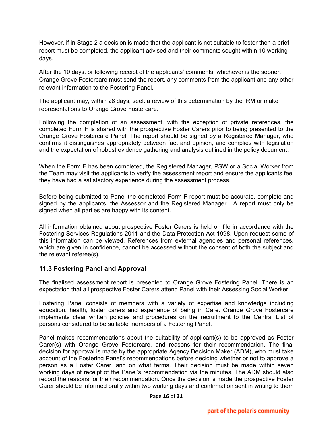However, if in Stage 2 a decision is made that the applicant is not suitable to foster then a brief report must be completed, the applicant advised and their comments sought within 10 working days.

After the 10 days, or following receipt of the applicants' comments, whichever is the sooner, Orange Grove Fostercare must send the report, any comments from the applicant and any other relevant information to the Fostering Panel.

The applicant may, within 28 days, seek a review of this determination by the IRM or make representations to Orange Grove Fostercare.

Following the completion of an assessment, with the exception of private references, the completed Form F is shared with the prospective Foster Carers prior to being presented to the Orange Grove Fostercare Panel. The report should be signed by a Registered Manager, who confirms it distinguishes appropriately between fact and opinion, and complies with legislation and the expectation of robust evidence gathering and analysis outlined in the policy document.

When the Form F has been completed, the Registered Manager, PSW or a Social Worker from the Team may visit the applicants to verify the assessment report and ensure the applicants feel they have had a satisfactory experience during the assessment process.

Before being submitted to Panel the completed Form F report must be accurate, complete and signed by the applicants, the Assessor and the Registered Manager. A report must only be signed when all parties are happy with its content.

All information obtained about prospective Foster Carers is held on file in accordance with the Fostering Services Regulations 2011 and the Data Protection Act 1998. Upon request some of this information can be viewed. References from external agencies and personal references, which are given in confidence, cannot be accessed without the consent of both the subject and the relevant referee(s).

# **11.3 Fostering Panel and Approval**

The finalised assessment report is presented to Orange Grove Fostering Panel. There is an expectation that all prospective Foster Carers attend Panel with their Assessing Social Worker.

Fostering Panel consists of members with a variety of expertise and knowledge including education, health, foster carers and experience of being in Care. Orange Grove Fostercare implements clear written policies and procedures on the recruitment to the Central List of persons considered to be suitable members of a Fostering Panel.

Panel makes recommendations about the suitability of applicant(s) to be approved as Foster Carer(s) with Orange Grove Fostercare, and reasons for their recommendation. The final decision for approval is made by the appropriate Agency Decision Maker (ADM), who must take account of the Fostering Panel's recommendations before deciding whether or not to approve a person as a Foster Carer, and on what terms. Their decision must be made within seven working days of receipt of the Panel's recommendation via the minutes. The ADM should also record the reasons for their recommendation. Once the decision is made the prospective Foster Carer should be informed orally within two working days and confirmation sent in writing to them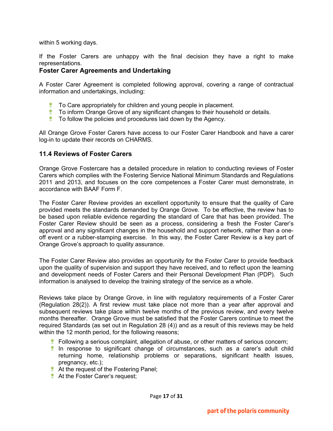within 5 working days.

If the Foster Carers are unhappy with the final decision they have a right to make representations.

## **Foster Carer Agreements and Undertaking**

A Foster Carer Agreement is completed following approval, covering a range of contractual information and undertakings, including:

- **The Care appropriately for children and young people in placement.**
- **To inform Orange Grove of any significant changes to their household or details.**
- **T** To follow the policies and procedures laid down by the Agency.

All Orange Grove Foster Carers have access to our Foster Carer Handbook and have a carer log-in to update their records on CHARMS.

### **11.4 Reviews of Foster Carers**

Orange Grove Fostercare has a detailed procedure in relation to conducting reviews of Foster Carers which complies with the Fostering Service National Minimum Standards and Regulations 2011 and 2013, and focuses on the core competences a Foster Carer must demonstrate, in accordance with BAAF Form F.

The Foster Carer Review provides an excellent opportunity to ensure that the quality of Care provided meets the standards demanded by Orange Grove. To be effective, the review has to be based upon reliable evidence regarding the standard of Care that has been provided. The Foster Carer Review should be seen as a process, considering a fresh the Foster Carer's approval and any significant changes in the household and support network, rather than a oneoff event or a rubber-stamping exercise. In this way, the Foster Carer Review is a key part of Orange Grove's approach to quality assurance.

The Foster Carer Review also provides an opportunity for the Foster Carer to provide feedback upon the quality of supervision and support they have received, and to reflect upon the learning and development needs of Foster Carers and their Personal Development Plan (PDP). Such information is analysed to develop the training strategy of the service as a whole.

Reviews take place by Orange Grove, in line with regulatory requirements of a Foster Carer (Regulation 28(2)). A first review must take place not more than a year after approval and subsequent reviews take place within twelve months of the previous review, and every twelve months thereafter. Orange Grove must be satisfied that the Foster Carers continue to meet the required Standards (as set out in Regulation 28 (4)) and as a result of this reviews may be held within the 12 month period, for the following reasons;

- **F** Following a serious complaint, allegation of abuse, or other matters of serious concern;
- In response to significant change of circumstances, such as a carer's adult child returning home, relationship problems or separations, significant health issues, pregnancy, etc.);
- At the request of the Fostering Panel;
- **At the Foster Carer's request;**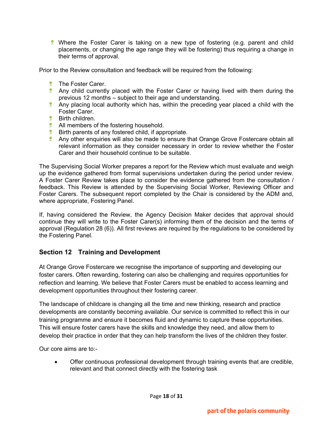**Where the Foster Carer is taking on a new type of fostering (e.g. parent and child** placements, or changing the age range they will be fostering) thus requiring a change in their terms of approval.

Prior to the Review consultation and feedback will be required from the following:

- **<sup>\*</sup>** The Foster Carer.
- **Any child currently placed with the Foster Carer or having lived with them during the** previous 12 months – subject to their age and understanding.
- **Any placing local authority which has, within the preceding year placed a child with the** Foster Carer.
- *\** Birth children.
- **All members of the fostering household.**
- **Birth parents of any fostered child, if appropriate.**
- **Any other enquiries will also be made to ensure that Orange Grove Fostercare obtain all** relevant information as they consider necessary in order to review whether the Foster Carer and their household continue to be suitable.

The Supervising Social Worker prepares a report for the Review which must evaluate and weigh up the evidence gathered from formal supervisions undertaken during the period under review. A Foster Carer Review takes place to consider the evidence gathered from the consultation / feedback. This Review is attended by the Supervising Social Worker, Reviewing Officer and Foster Carers. The subsequent report completed by the Chair is considered by the ADM and, where appropriate, Fostering Panel.

If, having considered the Review, the Agency Decision Maker decides that approval should continue they will write to the Foster Carer(s) informing them of the decision and the terms of approval (Regulation 28 (6)). All first reviews are required by the regulations to be considered by the Fostering Panel.

# **Section 12 Training and Development**

At Orange Grove Fostercare we recognise the importance of supporting and developing our foster carers. Often rewarding, fostering can also be challenging and requires opportunities for reflection and learning. We believe that Foster Carers must be enabled to access learning and development opportunities throughout their fostering career.

The landscape of childcare is changing all the time and new thinking, research and practice developments are constantly becoming available. Our service is committed to reflect this in our training programme and ensure it becomes fluid and dynamic to capture these opportunities. This will ensure foster carers have the skills and knowledge they need, and allow them to develop their practice in order that they can help transform the lives of the children they foster.

Our core aims are to:-

• Offer continuous professional development through training events that are credible, relevant and that connect directly with the fostering task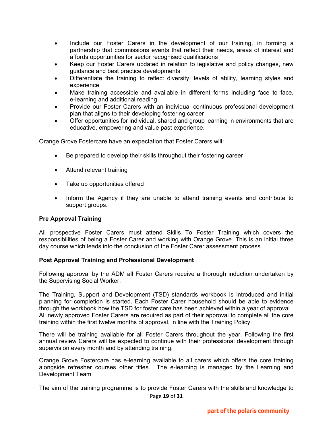- Include our Foster Carers in the development of our training, in forming a partnership that commissions events that reflect their needs, areas of interest and affords opportunities for sector recognised qualifications
- Keep our Foster Carers updated in relation to legislative and policy changes, new guidance and best practice developments
- Differentiate the training to reflect diversity, levels of ability, learning styles and experience
- Make training accessible and available in different forms including face to face, e-learning and additional reading
- Provide our Foster Carers with an individual continuous professional development plan that aligns to their developing fostering career
- Offer opportunities for individual, shared and group learning in environments that are educative, empowering and value past experience.

Orange Grove Fostercare have an expectation that Foster Carers will:

- Be prepared to develop their skills throughout their fostering career
- Attend relevant training
- Take up opportunities offered
- Inform the Agency if they are unable to attend training events and contribute to support groups.

#### **Pre Approval Training**

All prospective Foster Carers must attend Skills To Foster Training which covers the responsibilities of being a Foster Carer and working with Orange Grove. This is an initial three day course which leads into the conclusion of the Foster Carer assessment process.

#### **Post Approval Training and Professional Development**

Following approval by the ADM all Foster Carers receive a thorough induction undertaken by the Supervising Social Worker.

The Training, Support and Development (TSD) standards workbook is introduced and initial planning for completion is started. Each Foster Carer household should be able to evidence through the workbook how the TSD for foster care has been achieved within a year of approval. All newly approved Foster Carers are required as part of their approval to complete all the core training within the first twelve months of approval, in line with the Training Policy.

There will be training available for all Foster Carers throughout the year. Following the first annual review Carers will be expected to continue with their professional development through supervision every month and by attending training.

Orange Grove Fostercare has e-learning available to all carers which offers the core training alongside refresher courses other titles. The e-learning is managed by the Learning and Development Team

Page **19** of **31** The aim of the training programme is to provide Foster Carers with the skills and knowledge to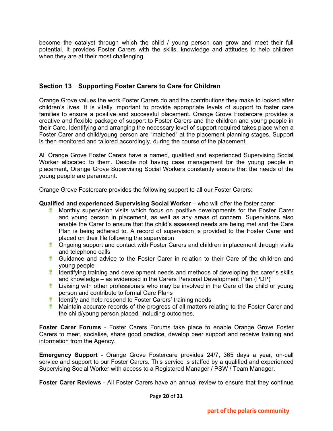become the catalyst through which the child / young person can grow and meet their full potential. It provides Foster Carers with the skills, knowledge and attitudes to help children when they are at their most challenging.

# **Section 13 Supporting Foster Carers to Care for Children**

Orange Grove values the work Foster Carers do and the contributions they make to looked after children's lives. It is vitally important to provide appropriate levels of support to foster care families to ensure a positive and successful placement. Orange Grove Fostercare provides a creative and flexible package of support to Foster Carers and the children and young people in their Care. Identifying and arranging the necessary level of support required takes place when a Foster Carer and child/young person are "matched" at the placement planning stages. Support is then monitored and tailored accordingly, during the course of the placement.

All Orange Grove Foster Carers have a named, qualified and experienced Supervising Social Worker allocated to them. Despite not having case management for the young people in placement, Orange Grove Supervising Social Workers constantly ensure that the needs of the young people are paramount.

Orange Grove Fostercare provides the following support to all our Foster Carers:

#### **Qualified and experienced Supervising Social Worker** – who will offer the foster carer:

- Monthly supervision visits which focus on positive developments for the Foster Carer 堂 and young person in placement, as well as any areas of concern. Supervisions also enable the Carer to ensure that the child's assessed needs are being met and the Care Plan is being adhered to. A record of supervision is provided to the Foster Carer and placed on their file following the supervision
- **Congoing support and contact with Foster Carers and children in placement through visits** and telephone calls
- **Guidance and advice to the Foster Carer in relation to their Care of the children and** young people
- $\bullet$  Identifying training and development needs and methods of developing the carer's skills and knowledge – as evidenced in the Carers Personal Development Plan (PDP)
- **Liaising with other professionals who may be involved in the Care of the child or young** person and contribute to formal Care Plans
- **If Identify and help respond to Foster Carers' training needs**
- 壁 Maintain accurate records of the progress of all matters relating to the Foster Carer and the child/young person placed, including outcomes.

**Foster Carer Forums** - Foster Carers Forums take place to enable Orange Grove Foster Carers to meet, socialise, share good practice, develop peer support and receive training and information from the Agency.

**Emergency Support** - Orange Grove Fostercare provides 24/7, 365 days a year, on-call service and support to our Foster Carers. This service is staffed by a qualified and experienced Supervising Social Worker with access to a Registered Manager / PSW / Team Manager.

**Foster Carer Reviews** - All Foster Carers have an annual review to ensure that they continue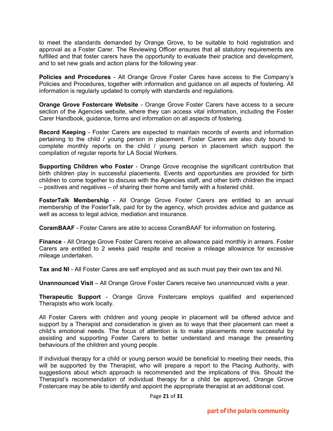to meet the standards demanded by Orange Grove, to be suitable to hold registration and approval as a Foster Carer. The Reviewing Officer ensures that all statutory requirements are fulfilled and that foster carers have the opportunity to evaluate their practice and development, and to set new goals and action plans for the following year.

**Policies and Procedures** - All Orange Grove Foster Cares have access to the Company's Policies and Procedures, together with information and guidance on all aspects of fostering. All information is regularly updated to comply with standards and regulations.

**Orange Grove Fostercare Website** - Orange Grove Foster Carers have access to a secure section of the Agencies website, where they can access vital information, including the Foster Carer Handbook, guidance, forms and information on all aspects of fostering.

**Record Keeping** - Foster Carers are expected to maintain records of events and information pertaining to the child / young person in placement. Foster Carers are also duty bound to complete monthly reports on the child / young person in placement which support the compilation of regular reports for LA Social Workers.

**Supporting Children who Foster** - Orange Grove recognise the significant contribution that birth children play in successful placements. Events and opportunities are provided for birth children to come together to discuss with the Agencies staff, and other birth children the impact – positives and negatives – of sharing their home and family with a fostered child.

**FosterTalk Membership** - All Orange Grove Foster Carers are entitled to an annual membership of the FosterTalk, paid for by the agency, which provides advice and guidance as well as access to legal advice, mediation and insurance.

**CoramBAAF** - Foster Carers are able to access CoramBAAF for information on fostering.

**Finance** - All Orange Grove Foster Carers receive an allowance paid monthly in arrears. Foster Carers are entitled to 2 weeks paid respite and receive a mileage allowance for excessive mileage undertaken.

**Tax and NI** - All Foster Cares are self employed and as such must pay their own tax and NI.

**Unannounced Visit** – All Orange Grove Foster Carers receive two unannounced visits a year.

**Therapeutic Support** - Orange Grove Fostercare employs qualified and experienced Therapists who work locally.

All Foster Carers with children and young people in placement will be offered advice and support by a Therapist and consideration is given as to ways that their placement can meet a child's emotional needs. The focus of attention is to make placements more successful by assisting and supporting Foster Carers to better understand and manage the presenting behaviours of the children and young people.

If individual therapy for a child or young person would be beneficial to meeting their needs, this will be supported by the Therapist, who will prepare a report to the Placing Authority, with suggestions about which approach is recommended and the implications of this. Should the Therapist's recommendation of individual therapy for a child be approved, Orange Grove Fostercare may be able to identify and appoint the appropriate therapist at an additional cost.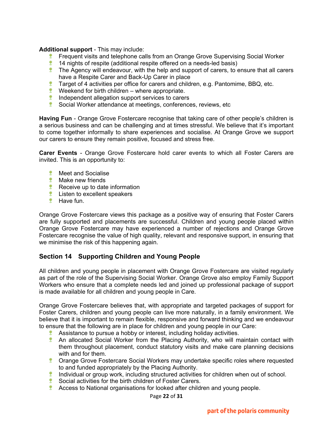#### **Additional support** - This may include:

- **Figuent visits and telephone calls from an Orange Grove Supervising Social Worker**
- 14 nights of respite (additional respite offered on a needs-led basis)
- $\bullet$  The Agency will endeavour, with the help and support of carers, to ensure that all carers have a Respite Carer and Back-Up Carer in place
- **Target of 4 activities per office for carers and children, e.g. Pantomime, BBQ, etc.**
- **Weekend for birth children** where appropriate.
- $\bullet$  Independent allegation support services to carers
- Social Worker attendance at meetings, conferences, reviews, etc

**Having Fun** - Orange Grove Fostercare recognise that taking care of other people's children is a serious business and can be challenging and at times stressful. We believe that it's important to come together informally to share experiences and socialise. At Orange Grove we support our carers to ensure they remain positive, focused and stress free.

**Carer Events** - Orange Grove Fostercare hold carer events to which all Foster Carers are invited. This is an opportunity to:

- **<sup>\*</sup>** Meet and Socialise
- **<sup>\*</sup>** Make new friends
- Receive up to date information
- $*$  Listen to excellent speakers
- **<sup>\*</sup>** Have fun.

Orange Grove Fostercare views this package as a positive way of ensuring that Foster Carers are fully supported and placements are successful. Children and young people placed within Orange Grove Fostercare may have experienced a number of rejections and Orange Grove Fostercare recognise the value of high quality, relevant and responsive support, in ensuring that we minimise the risk of this happening again.

# **Section 14 Supporting Children and Young People**

All children and young people in placement with Orange Grove Fostercare are visited regularly as part of the role of the Supervising Social Worker. Orange Grove also employ Family Support Workers who ensure that a complete needs led and joined up professional package of support is made available for all children and young people in Care.

Orange Grove Fostercare believes that, with appropriate and targeted packages of support for Foster Carers, children and young people can live more naturally, in a family environment. We believe that it is important to remain flexible, responsive and forward thinking and we endeavour to ensure that the following are in place for children and young people in our Care:

- **Assistance to pursue a hobby or interest, including holiday activities.**
- **An allocated Social Worker from the Placing Authority, who will maintain contact with** them throughout placement, conduct statutory visits and make care planning decisions with and for them.
- **Crange Grove Fostercare Social Workers may undertake specific roles where requested** to and funded appropriately by the Placing Authority.
- Individual or group work, including structured activities for children when out of school.
- **Social activities for the birth children of Foster Carers.**
- **Access to National organisations for looked after children and young people.**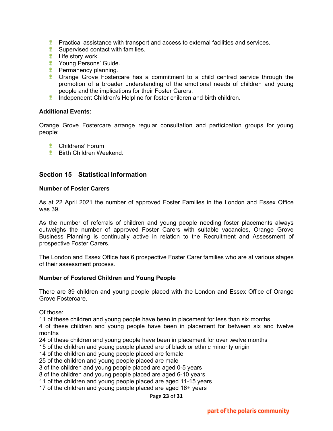- **Practical assistance with transport and access to external facilities and services.**
- **Supervised contact with families.**
- **<sup>\*</sup>** Life story work.
- **The Young Persons' Guide.**
- **Permanency planning.**
- **the Crange Grove Fostercare has a commitment to a child centred service through the** promotion of a broader understanding of the emotional needs of children and young people and the implications for their Foster Carers.
- **Independent Children's Helpline for foster children and birth children.**

#### **Additional Events:**

Orange Grove Fostercare arrange regular consultation and participation groups for young people:

- Childrens' Forum
- *\** Birth Children Weekend.

## **Section 15 Statistical Information**

#### **Number of Foster Carers**

As at 22 April 2021 the number of approved Foster Families in the London and Essex Office was 39.

As the number of referrals of children and young people needing foster placements always outweighs the number of approved Foster Carers with suitable vacancies, Orange Grove Business Planning is continually active in relation to the Recruitment and Assessment of prospective Foster Carers.

The London and Essex Office has 6 prospective Foster Carer families who are at various stages of their assessment process.

#### **Number of Fostered Children and Young People**

There are 39 children and young people placed with the London and Essex Office of Orange Grove Fostercare.

Of those:

11 of these children and young people have been in placement for less than six months.

4 of these children and young people have been in placement for between six and twelve months

24 of these children and young people have been in placement for over twelve months

15 of the children and young people placed are of black or ethnic minority origin

14 of the children and young people placed are female

25 of the children and young people placed are male

3 of the children and young people placed are aged 0-5 years

8 of the children and young people placed are aged 6-10 years

11 of the children and young people placed are aged 11-15 years

17 of the children and young people placed are aged 16+ years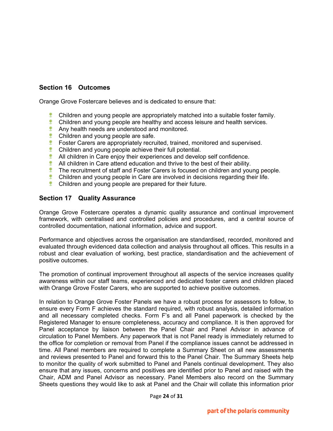# **Section 16 Outcomes**

Orange Grove Fostercare believes and is dedicated to ensure that:

- Children and young people are appropriately matched into a suitable foster family.
- $\bullet$  Children and young people are healthy and access leisure and health services.
- **Any health needs are understood and monitored.**
- **Children and young people are safe.**
- **EXEC** Foster Carers are appropriately recruited, trained, monitored and supervised.
- 壁 Children and young people achieve their full potential.
- **All children in Care enjoy their experiences and develop self confidence.**
- 壁 All children in Care attend education and thrive to the best of their ability.
- 夔 The recruitment of staff and Foster Carers is focused on children and young people.
- $\ddot{\ddot{\mathbf{x}}}$  Children and young people in Care are involved in decisions regarding their life.
- **Children and young people are prepared for their future.**

## **Section 17 Quality Assurance**

Orange Grove Fostercare operates a dynamic quality assurance and continual improvement framework, with centralised and controlled policies and procedures, and a central source of controlled documentation, national information, advice and support.

Performance and objectives across the organisation are standardised, recorded, monitored and evaluated through evidenced data collection and analysis throughout all offices. This results in a robust and clear evaluation of working, best practice, standardisation and the achievement of positive outcomes.

The promotion of continual improvement throughout all aspects of the service increases quality awareness within our staff teams, experienced and dedicated foster carers and children placed with Orange Grove Foster Carers, who are supported to achieve positive outcomes.

In relation to Orange Grove Foster Panels we have a robust process for assessors to follow, to ensure every Form F achieves the standard required, with robust analysis, detailed information and all necessary completed checks. Form F's and all Panel paperwork is checked by the Registered Manager to ensure completeness, accuracy and compliance. It is then approved for Panel acceptance by liaison between the Panel Chair and Panel Advisor in advance of circulation to Panel Members. Any paperwork that is not Panel ready is immediately returned to the office for completion or removal from Panel if the compliance issues cannot be addressed in time. All Panel members are required to complete a Summary Sheet on all new assessments and reviews presented to Panel and forward this to the Panel Chair. The Summary Sheets help to monitor the quality of work submitted to Panel and Panels continual development. They also ensure that any issues, concerns and positives are identified prior to Panel and raised with the Chair, ADM and Panel Advisor as necessary. Panel Members also record on the Summary Sheets questions they would like to ask at Panel and the Chair will collate this information prior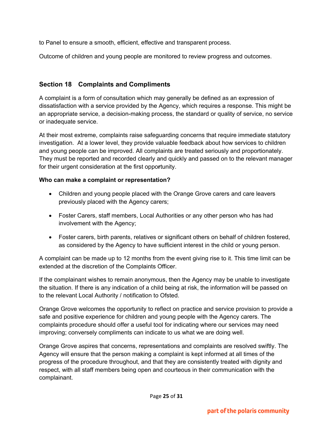to Panel to ensure a smooth, efficient, effective and transparent process.

Outcome of children and young people are monitored to review progress and outcomes.

# **Section 18 Complaints and Compliments**

A complaint is a form of consultation which may generally be defined as an expression of dissatisfaction with a service provided by the Agency, which requires a response. This might be an appropriate service, a decision-making process, the standard or quality of service, no service or inadequate service.

At their most extreme, complaints raise safeguarding concerns that require immediate statutory investigation. At a lower level, they provide valuable feedback about how services to children and young people can be improved. All complaints are treated seriously and proportionately. They must be reported and recorded clearly and quickly and passed on to the relevant manager for their urgent consideration at the first oppo**r**tunity.

## **Who can make a complaint or representation?**

- Children and young people placed with the Orange Grove carers and care leavers previously placed with the Agency carers;
- Foster Carers, staff members, Local Authorities or any other person who has had involvement with the Agency;
- Foster carers, birth parents, relatives or significant others on behalf of children fostered, as considered by the Agency to have sufficient interest in the child or young person.

A complaint can be made up to 12 months from the event giving rise to it. This time limit can be extended at the discretion of the Complaints Officer.

If the complainant wishes to remain anonymous, then the Agency may be unable to investigate the situation. If there is any indication of a child being at risk, the information will be passed on to the relevant Local Authority / notification to Ofsted.

Orange Grove welcomes the opportunity to reflect on practice and service provision to provide a safe and positive experience for children and young people with the Agency carers. The complaints procedure should offer a useful tool for indicating where our services may need improving; conversely compliments can indicate to us what we are doing well.

Orange Grove aspires that concerns, representations and complaints are resolved swiftly. The Agency will ensure that the person making a complaint is kept informed at all times of the progress of the procedure throughout, and that they are consistently treated with dignity and respect, with all staff members being open and courteous in their communication with the complainant.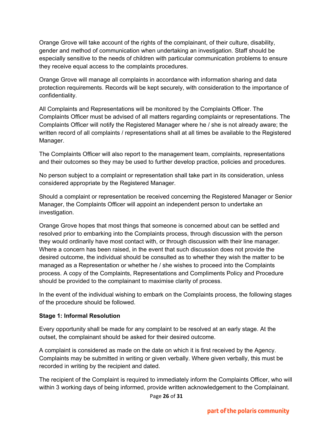Orange Grove will take account of the rights of the complainant, of their culture, disability, gender and method of communication when undertaking an investigation. Staff should be especially sensitive to the needs of children with particular communication problems to ensure they receive equal access to the complaints procedures.

Orange Grove will manage all complaints in accordance with information sharing and data protection requirements. Records will be kept securely, with consideration to the importance of confidentiality.

All Complaints and Representations will be monitored by the Complaints Officer. The Complaints Officer must be advised of all matters regarding complaints or representations. The Complaints Officer will notify the Registered Manager where he / she is not already aware; the written record of all complaints / representations shall at all times be available to the Registered Manager.

The Complaints Officer will also report to the management team, complaints, representations and their outcomes so they may be used to further develop practice, policies and procedures.

No person subject to a complaint or representation shall take part in its consideration, unless considered appropriate by the Registered Manager.

Should a complaint or representation be received concerning the Registered Manager or Senior Manager, the Complaints Officer will appoint an independent person to undertake an investigation.

Orange Grove hopes that most things that someone is concerned about can be settled and resolved prior to embarking into the Complaints process, through discussion with the person they would ordinarily have most contact with, or through discussion with their line manager. Where a concern has been raised, in the event that such discussion does not provide the desired outcome, the individual should be consulted as to whether they wish the matter to be managed as a Representation or whether he / she wishes to proceed into the Complaints process. A copy of the Complaints, Representations and Compliments Policy and Procedure should be provided to the complainant to maximise clarity of process.

In the event of the individual wishing to embark on the Complaints process, the following stages of the procedure should be followed.

# **Stage 1: Informal Resolution**

Every opportunity shall be made for any complaint to be resolved at an early stage. At the outset, the complainant should be asked for their desired outcome.

A complaint is considered as made on the date on which it is first received by the Agency. Complaints may be submitted in writing or given verbally. Where given verbally, this must be recorded in writing by the recipient and dated.

The recipient of the Complaint is required to immediately inform the Complaints Officer, who will within 3 working days of being informed, provide written acknowledgement to the Complainant.

Page **26** of **31**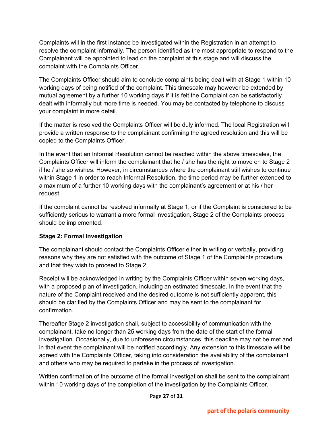Complaints will in the first instance be investigated within the Registration in an attempt to resolve the complaint informally. The person identified as the most appropriate to respond to the Complainant will be appointed to lead on the complaint at this stage and will discuss the complaint with the Complaints Officer.

The Complaints Officer should aim to conclude complaints being dealt with at Stage 1 within 10 working days of being notified of the complaint. This timescale may however be extended by mutual agreement by a further 10 working days if it is felt the Complaint can be satisfactorily dealt with informally but more time is needed. You may be contacted by telephone to discuss your complaint in more detail.

If the matter is resolved the Complaints Officer will be duly informed. The local Registration will provide a written response to the complainant confirming the agreed resolution and this will be copied to the Complaints Officer.

In the event that an Informal Resolution cannot be reached within the above timescales, the Complaints Officer will inform the complainant that he / she has the right to move on to Stage 2 if he / she so wishes. However, in circumstances where the complainant still wishes to continue within Stage 1 in order to reach Informal Resolution, the time period may be further extended to a maximum of a further 10 working days with the complainant's agreement or at his / her request.

If the complaint cannot be resolved informally at Stage 1, or if the Complaint is considered to be sufficiently serious to warrant a more formal investigation, Stage 2 of the Complaints process should be implemented.

# **Stage 2: Formal Investigation**

The complainant should contact the Complaints Officer either in writing or verbally, providing reasons why they are not satisfied with the outcome of Stage 1 of the Complaints procedure and that they wish to proceed to Stage 2.

Receipt will be acknowledged in writing by the Complaints Officer within seven working days, with a proposed plan of investigation, including an estimated timescale. In the event that the nature of the Complaint received and the desired outcome is not sufficiently apparent, this should be clarified by the Complaints Officer and may be sent to the complainant for confirmation.

Thereafter Stage 2 investigation shall, subject to accessibility of communication with the complainant, take no longer than 25 working days from the date of the start of the formal investigation. Occasionally, due to unforeseen circumstances, this deadline may not be met and in that event the complainant will be notified accordingly. Any extension to this timescale will be agreed with the Complaints Officer, taking into consideration the availability of the complainant and others who may be required to partake in the process of investigation.

Written confirmation of the outcome of the formal investigation shall be sent to the complainant within 10 working days of the completion of the investigation by the Complaints Officer.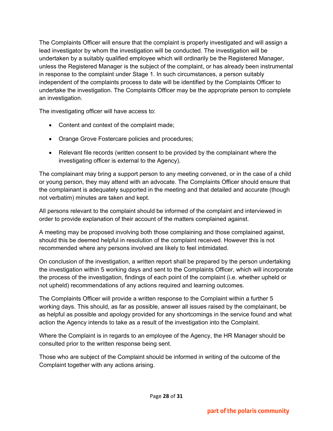The Complaints Officer will ensure that the complaint is properly investigated and will assign a lead investigator by whom the investigation will be conducted. The investigation will be undertaken by a suitably qualified employee which will ordinarily be the Registered Manager, unless the Registered Manager is the subject of the complaint, or has already been instrumental in response to the complaint under Stage 1. In such circumstances, a person suitably independent of the complaints process to date will be identified by the Complaints Officer to undertake the investigation. The Complaints Officer may be the appropriate person to complete an investigation.

The investigating officer will have access to:

- Content and context of the complaint made;
- Orange Grove Fostercare policies and procedures;
- Relevant file records (written consent to be provided by the complainant where the investigating officer is external to the Agency).

The complainant may bring a support person to any meeting convened, or in the case of a child or young person, they may attend with an advocate. The Complaints Officer should ensure that the complainant is adequately supported in the meeting and that detailed and accurate (though not verbatim) minutes are taken and kept.

All persons relevant to the complaint should be informed of the complaint and interviewed in order to provide explanation of their account of the matters complained against.

A meeting may be proposed involving both those complaining and those complained against, should this be deemed helpful in resolution of the complaint received. However this is not recommended where any persons involved are likely to feel intimidated.

On conclusion of the investigation, a written report shall be prepared by the person undertaking the investigation within 5 working days and sent to the Complaints Officer, which will incorporate the process of the investigation, findings of each point of the complaint (i.e. whether upheld or not upheld) recommendations of any actions required and learning outcomes.

The Complaints Officer will provide a written response to the Complaint within a further 5 working days. This should, as far as possible, answer all issues raised by the complainant, be as helpful as possible and apology provided for any shortcomings in the service found and what action the Agency intends to take as a result of the investigation into the Complaint.

Where the Complaint is in regards to an employee of the Agency, the HR Manager should be consulted prior to the written response being sent.

Those who are subject of the Complaint should be informed in writing of the outcome of the Complaint together with any actions arising.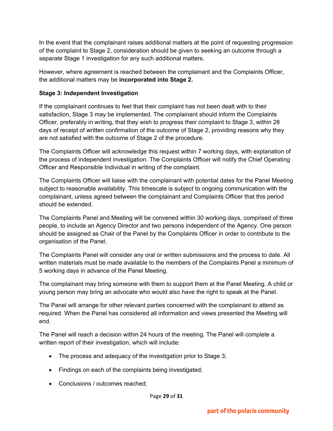In the event that the complainant raises additional matters at the point of requesting progression of the complaint to Stage 2, consideration should be given to seeking an outcome through a separate Stage 1 investigation for any such additional matters.

However, where agreement is reached between the complainant and the Complaints Officer, the additional matters may be **incorporated into Stage 2.**

# **Stage 3: Independent Investigation**

If the complainant continues to feel that their complaint has not been dealt with to their satisfaction, Stage 3 may be implemented. The complainant should inform the Complaints Officer, preferably in writing, that they wish to progress their complaint to Stage 3, within 28 days of receipt of written confirmation of the outcome of Stage 2, providing reasons why they are not satisfied with the outcome of Stage 2 of the procedure.

The Complaints Officer will acknowledge this request within 7 working days, with explanation of the process of independent investigation. The Complaints Officer will notify the Chief Operating Officer and Responsible Individual in writing of the complaint.

The Complaints Officer will liaise with the complainant with potential dates for the Panel Meeting subject to reasonable availability. This timescale is subject to ongoing communication with the complainant, unless agreed between the complainant and Complaints Officer that this period should be extended.

The Complaints Panel and Meeting will be convened within 30 working days, comprised of three people, to include an Agency Director and two persons independent of the Agency. One person should be assigned as Chair of the Panel by the Complaints Officer in order to contribute to the organisation of the Panel.

The Complaints Panel will consider any oral or written submissions and the process to date. All written materials must be made available to the members of the Complaints Panel a minimum of 5 working days in advance of the Panel Meeting.

The complainant may bring someone with them to support them at the Panel Meeting. A child or young person may bring an advocate who would also have the right to speak at the Panel.

The Panel will arrange for other relevant parties concerned with the complainant to attend as required. When the Panel has considered all information and views presented the Meeting will end.

The Panel will reach a decision within 24 hours of the meeting. The Panel will complete a written report of their investigation, which will include:

- The process and adequacy of the investigation prior to Stage 3;
- Findings on each of the complaints being investigated;
- Conclusions / outcomes reached;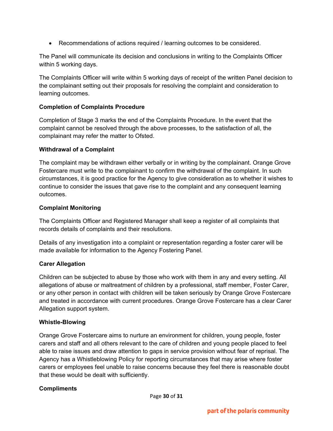• Recommendations of actions required / learning outcomes to be considered.

The Panel will communicate its decision and conclusions in writing to the Complaints Officer within 5 working days.

The Complaints Officer will write within 5 working days of receipt of the written Panel decision to the complainant setting out their proposals for resolving the complaint and consideration to learning outcomes.

# **Completion of Complaints Procedure**

Completion of Stage 3 marks the end of the Complaints Procedure. In the event that the complaint cannot be resolved through the above processes, to the satisfaction of all, the complainant may refer the matter to Ofsted.

# **Withdrawal of a Complaint**

The complaint may be withdrawn either verbally or in writing by the complainant. Orange Grove Fostercare must write to the complainant to confirm the withdrawal of the complaint. In such circumstances, it is good practice for the Agency to give consideration as to whether it wishes to continue to consider the issues that gave rise to the complaint and any consequent learning outcomes.

# **Complaint Monitoring**

The Complaints Officer and Registered Manager shall keep a register of all complaints that records details of complaints and their resolutions.

Details of any investigation into a complaint or representation regarding a foster carer will be made available for information to the Agency Fostering Panel.

# **Carer Allegation**

Children can be subjected to abuse by those who work with them in any and every setting. All allegations of abuse or maltreatment of children by a professional, staff member, Foster Carer, or any other person in contact with children will be taken seriously by Orange Grove Fostercare and treated in accordance with current procedures. Orange Grove Fostercare has a clear Carer Allegation support system.

# **Whistle-Blowing**

Orange Grove Fostercare aims to nurture an environment for children, young people, foster carers and staff and all others relevant to the care of children and young people placed to feel able to raise issues and draw attention to gaps in service provision without fear of reprisal. The Agency has a Whistleblowing Policy for reporting circumstances that may arise where foster carers or employees feel unable to raise concerns because they feel there is reasonable doubt that these would be dealt with sufficiently.

# **Compliments**